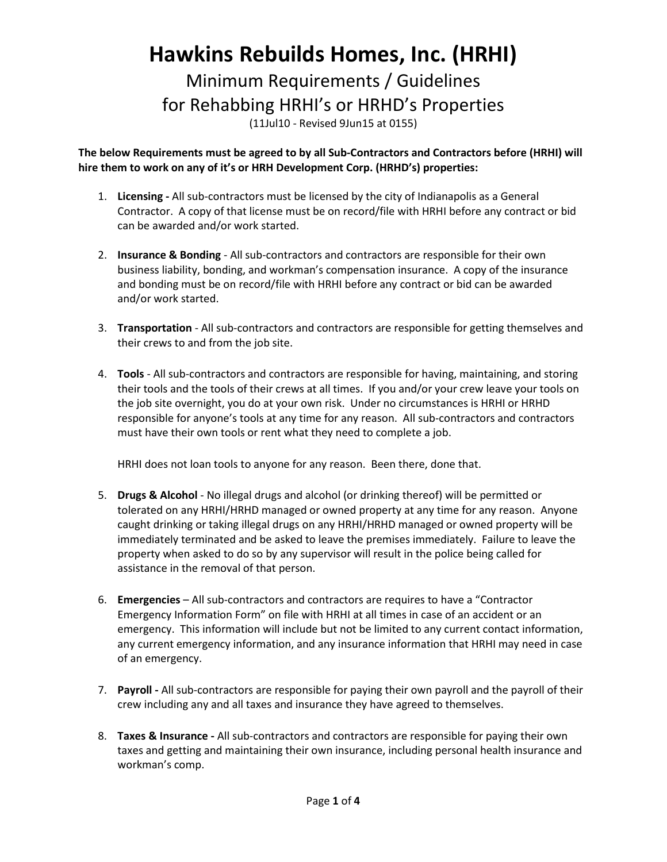## **Hawkins Rebuilds Homes, Inc. (HRHI)**

Minimum Requirements / Guidelines for Rehabbing HRHI's or HRHD's Properties

(11Jul10 - Revised 9Jun15 at 0155)

**The below Requirements must be agreed to by all Sub-Contractors and Contractors before (HRHI) will hire them to work on any of it's or HRH Development Corp. (HRHD's) properties:**

- 1. **Licensing -** All sub-contractors must be licensed by the city of Indianapolis as a General Contractor. A copy of that license must be on record/file with HRHI before any contract or bid can be awarded and/or work started.
- 2. **Insurance & Bonding** All sub-contractors and contractors are responsible for their own business liability, bonding, and workman's compensation insurance. A copy of the insurance and bonding must be on record/file with HRHI before any contract or bid can be awarded and/or work started.
- 3. **Transportation** All sub-contractors and contractors are responsible for getting themselves and their crews to and from the job site.
- 4. **Tools** All sub-contractors and contractors are responsible for having, maintaining, and storing their tools and the tools of their crews at all times. If you and/or your crew leave your tools on the job site overnight, you do at your own risk. Under no circumstances is HRHI or HRHD responsible for anyone's tools at any time for any reason. All sub-contractors and contractors must have their own tools or rent what they need to complete a job.

HRHI does not loan tools to anyone for any reason. Been there, done that.

- 5. **Drugs & Alcohol** No illegal drugs and alcohol (or drinking thereof) will be permitted or tolerated on any HRHI/HRHD managed or owned property at any time for any reason. Anyone caught drinking or taking illegal drugs on any HRHI/HRHD managed or owned property will be immediately terminated and be asked to leave the premises immediately. Failure to leave the property when asked to do so by any supervisor will result in the police being called for assistance in the removal of that person.
- 6. **Emergencies** All sub-contractors and contractors are requires to have a "Contractor Emergency Information Form" on file with HRHI at all times in case of an accident or an emergency. This information will include but not be limited to any current contact information, any current emergency information, and any insurance information that HRHI may need in case of an emergency.
- 7. **Payroll -** All sub-contractors are responsible for paying their own payroll and the payroll of their crew including any and all taxes and insurance they have agreed to themselves.
- 8. **Taxes & Insurance -** All sub-contractors and contractors are responsible for paying their own taxes and getting and maintaining their own insurance, including personal health insurance and workman's comp.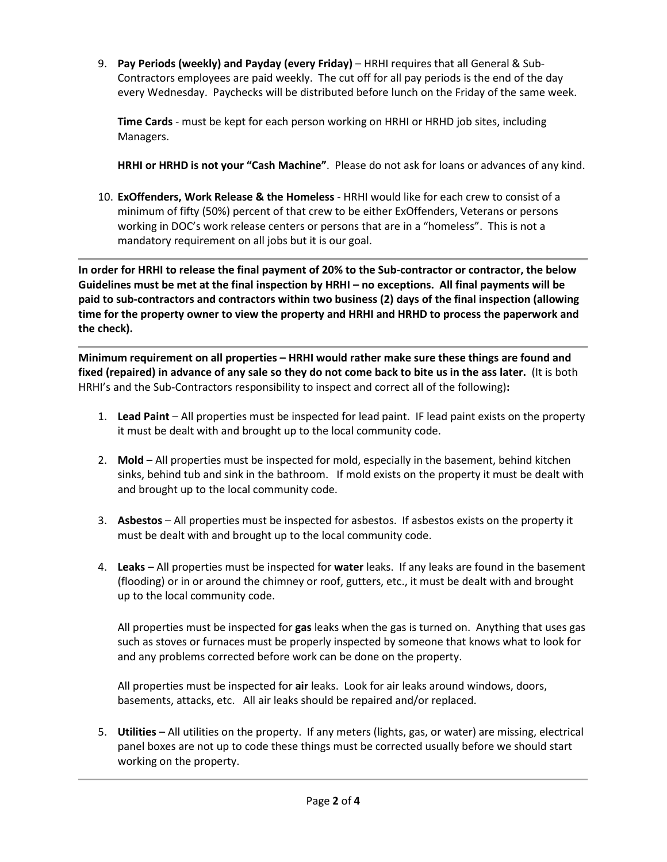9. **Pay Periods (weekly) and Payday (every Friday)** – HRHI requires that all General & Sub-Contractors employees are paid weekly. The cut off for all pay periods is the end of the day every Wednesday. Paychecks will be distributed before lunch on the Friday of the same week.

**Time Cards** - must be kept for each person working on HRHI or HRHD job sites, including Managers.

**HRHI or HRHD is not your "Cash Machine"**. Please do not ask for loans or advances of any kind.

10. **ExOffenders, Work Release & the Homeless** - HRHI would like for each crew to consist of a minimum of fifty (50%) percent of that crew to be either ExOffenders, Veterans or persons working in DOC's work release centers or persons that are in a "homeless". This is not a mandatory requirement on all jobs but it is our goal.

**In order for HRHI to release the final payment of 20% to the Sub-contractor or contractor, the below Guidelines must be met at the final inspection by HRHI – no exceptions. All final payments will be paid to sub-contractors and contractors within two business (2) days of the final inspection (allowing time for the property owner to view the property and HRHI and HRHD to process the paperwork and the check).**

**Minimum requirement on all properties – HRHI would rather make sure these things are found and fixed (repaired) in advance of any sale so they do not come back to bite us in the ass later.** (It is both HRHI's and the Sub-Contractors responsibility to inspect and correct all of the following)**:**

- 1. **Lead Paint** All properties must be inspected for lead paint. IF lead paint exists on the property it must be dealt with and brought up to the local community code.
- 2. **Mold** All properties must be inspected for mold, especially in the basement, behind kitchen sinks, behind tub and sink in the bathroom. If mold exists on the property it must be dealt with and brought up to the local community code.
- 3. **Asbestos** All properties must be inspected for asbestos. If asbestos exists on the property it must be dealt with and brought up to the local community code.
- 4. **Leaks** All properties must be inspected for **water** leaks. If any leaks are found in the basement (flooding) or in or around the chimney or roof, gutters, etc., it must be dealt with and brought up to the local community code.

All properties must be inspected for **gas** leaks when the gas is turned on. Anything that uses gas such as stoves or furnaces must be properly inspected by someone that knows what to look for and any problems corrected before work can be done on the property.

All properties must be inspected for **air** leaks. Look for air leaks around windows, doors, basements, attacks, etc. All air leaks should be repaired and/or replaced.

5. **Utilities** – All utilities on the property. If any meters (lights, gas, or water) are missing, electrical panel boxes are not up to code these things must be corrected usually before we should start working on the property.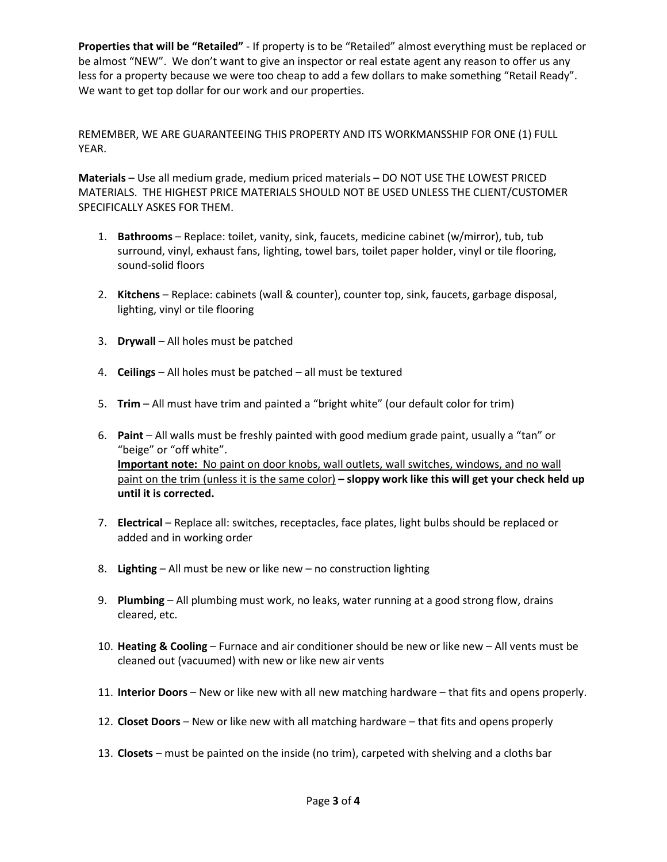**Properties that will be "Retailed"** - If property is to be "Retailed" almost everything must be replaced or be almost "NEW". We don't want to give an inspector or real estate agent any reason to offer us any less for a property because we were too cheap to add a few dollars to make something "Retail Ready". We want to get top dollar for our work and our properties.

REMEMBER, WE ARE GUARANTEEING THIS PROPERTY AND ITS WORKMANSSHIP FOR ONE (1) FULL YEAR.

**Materials** – Use all medium grade, medium priced materials – DO NOT USE THE LOWEST PRICED MATERIALS. THE HIGHEST PRICE MATERIALS SHOULD NOT BE USED UNLESS THE CLIENT/CUSTOMER SPECIFICALLY ASKES FOR THEM.

- 1. **Bathrooms** Replace: toilet, vanity, sink, faucets, medicine cabinet (w/mirror), tub, tub surround, vinyl, exhaust fans, lighting, towel bars, toilet paper holder, vinyl or tile flooring, sound-solid floors
- 2. **Kitchens** Replace: cabinets (wall & counter), counter top, sink, faucets, garbage disposal, lighting, vinyl or tile flooring
- 3. **Drywall** All holes must be patched
- 4. **Ceilings** All holes must be patched all must be textured
- 5. **Trim** All must have trim and painted a "bright white" (our default color for trim)
- 6. **Paint** All walls must be freshly painted with good medium grade paint, usually a "tan" or "beige" or "off white". **Important note:** No paint on door knobs, wall outlets, wall switches, windows, and no wall paint on the trim (unless it is the same color) **– sloppy work like this will get your check held up until it is corrected.**
- 7. **Electrical** Replace all: switches, receptacles, face plates, light bulbs should be replaced or added and in working order
- 8. **Lighting** All must be new or like new no construction lighting
- 9. **Plumbing** All plumbing must work, no leaks, water running at a good strong flow, drains cleared, etc.
- 10. **Heating & Cooling** Furnace and air conditioner should be new or like new All vents must be cleaned out (vacuumed) with new or like new air vents
- 11. **Interior Doors** New or like new with all new matching hardware that fits and opens properly.
- 12. **Closet Doors** New or like new with all matching hardware that fits and opens properly
- 13. **Closets** must be painted on the inside (no trim), carpeted with shelving and a cloths bar